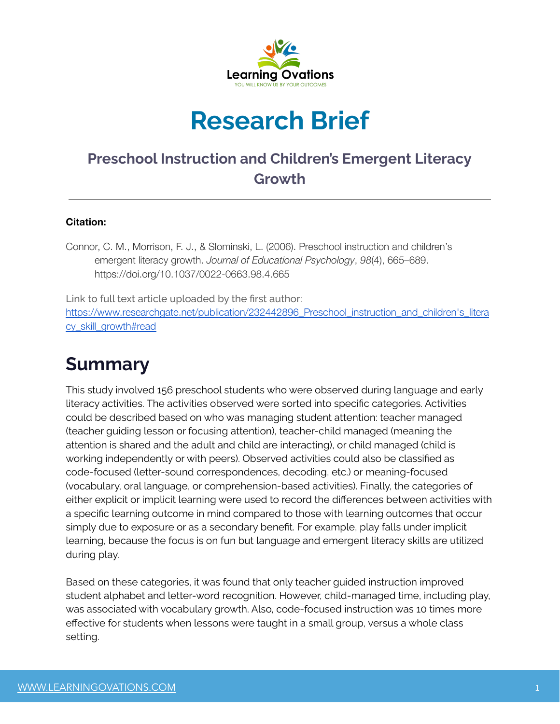

# **Research Brief**

#### **Preschool Instruction and Children's Emergent Literacy Growth**

#### **Citation:**

Connor, C. M., Morrison, F. J., & Slominski, L. (2006). Preschool instruction and children's emergent literacy growth. *Journal of Educational Psychology*, *98*(4), 665–689. https://doi.org/10.1037/0022-0663.98.4.665

Link to full text article uploaded by the first author: https://www.researchgate.net/publication/232442896 Preschool instruction and children's litera [cy\\_skill\\_growth#read](https://www.researchgate.net/publication/232442896_Preschool_instruction_and_children)

### **Summary**

This study involved 156 preschool students who were observed during language and early literacy activities. The activities observed were sorted into specific categories. Activities could be described based on who was managing student attention: teacher managed (teacher guiding lesson or focusing attention), teacher-child managed (meaning the attention is shared and the adult and child are interacting), or child managed (child is working independently or with peers). Observed activities could also be classified as code-focused (letter-sound correspondences, decoding, etc.) or meaning-focused (vocabulary, oral language, or comprehension-based activities). Finally, the categories of either explicit or implicit learning were used to record the differences between activities with a specific learning outcome in mind compared to those with learning outcomes that occur simply due to exposure or as a secondary benefit. For example, play falls under implicit learning, because the focus is on fun but language and emergent literacy skills are utilized during play.

Based on these categories, it was found that only teacher guided instruction improved student alphabet and letter-word recognition. However, child-managed time, including play, was associated with vocabulary growth. Also, code-focused instruction was 10 times more effective for students when lessons were taught in a small group, versus a whole class setting.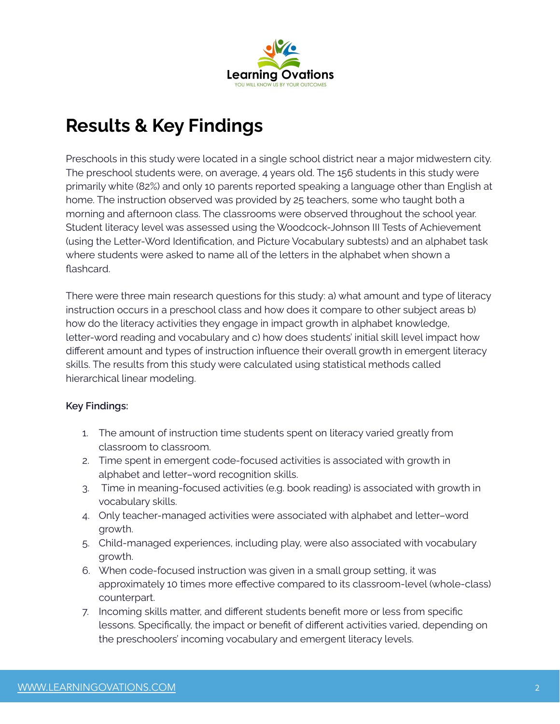

## **Results & Key Findings**

Preschools in this study were located in a single school district near a major midwestern city. The preschool students were, on average, 4 years old. The 156 students in this study were primarily white (82%) and only 10 parents reported speaking a language other than English at home. The instruction observed was provided by 25 teachers, some who taught both a morning and afternoon class. The classrooms were observed throughout the school year. Student literacy level was assessed using the Woodcock-Johnson III Tests of Achievement (using the Letter-Word Identification, and Picture Vocabulary subtests) and an alphabet task where students were asked to name all of the letters in the alphabet when shown a flashcard.

There were three main research questions for this study: a) what amount and type of literacy instruction occurs in a preschool class and how does it compare to other subject areas b) how do the literacy activities they engage in impact growth in alphabet knowledge, letter-word reading and vocabulary and c) how does students' initial skill level impact how different amount and types of instruction influence their overall growth in emergent literacy skills. The results from this study were calculated using statistical methods called hierarchical linear modeling.

#### **Key Findings:**

- 1. The amount of instruction time students spent on literacy varied greatly from classroom to classroom.
- 2. Time spent in emergent code-focused activities is associated with growth in alphabet and letter–word recognition skills.
- 3. Time in meaning-focused activities (e.g. book reading) is associated with growth in vocabulary skills.
- 4. Only teacher-managed activities were associated with alphabet and letter–word growth.
- 5. Child-managed experiences, including play, were also associated with vocabulary growth.
- 6. When code-focused instruction was given in a small group setting, it was approximately 10 times more effective compared to its classroom-level (whole-class) counterpart.
- 7. Incoming skills matter, and different students benefit more or less from specific lessons. Specifically, the impact or benefit of different activities varied, depending on the preschoolers' incoming vocabulary and emergent literacy levels.